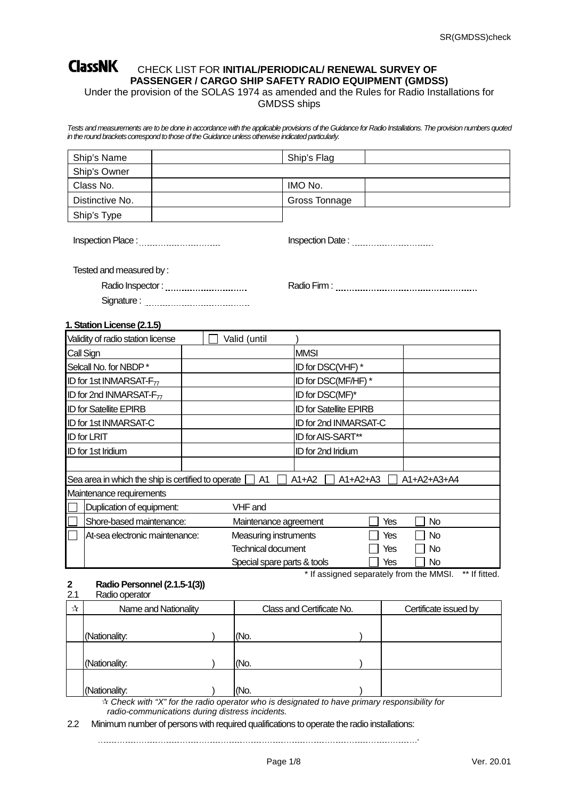# **ClassNK** CHECK LIST FOR INITIAL/PERIODICAL/ RENEWAL SURVEY OF **PASSENGER / CARGO SHIP SAFETY RADIO EQUIPMENT (GMDSS)**

Under the provision of the SOLAS 1974 as amended and the Rules for Radio Installations for GMDSS ships

*Tests and measurements are to be done in accordance with the applicable provisions of the Guidance for Radio Installations. The provision numbers quoted*  in the round brackets correspond to those of the Guidance unless otherwise indicated particularly.

| Ship's Name     | Ship's Flag   |  |
|-----------------|---------------|--|
| Ship's Owner    |               |  |
| Class No.       | IMO No.       |  |
| Distinctive No. | Gross Tonnage |  |
| Ship's Type     |               |  |

Inspection Place : Inspection Date :

Tested and measured by :

Signature :

Radio Inspector : Radio Firm :

**1. Station License (2.1.5)**

| Validity of radio station license                       |  | Valid (until                |                               |     |               |
|---------------------------------------------------------|--|-----------------------------|-------------------------------|-----|---------------|
| Call Sign                                               |  |                             | <b>MMSI</b>                   |     |               |
| Selcall No. for NBDP*                                   |  |                             | ID for DSC(VHF) *             |     |               |
| ID for 1st INMARSAT- $F_{77}$                           |  |                             | ID for DSC(MF/HF) *           |     |               |
| ID for 2nd INMARSAT- $F_{77}$                           |  |                             | ID for DSC(MF)*               |     |               |
| <b>ID for Satellite EPIRB</b>                           |  |                             | <b>ID for Satellite EPIRB</b> |     |               |
| <b>ID for 1st INMARSAT-C</b>                            |  |                             | ID for 2nd INMARSAT-C         |     |               |
| <b>ID</b> for LRIT                                      |  |                             | ID for AIS-SART**             |     |               |
| <b>ID</b> for 1st Iridium                               |  |                             | <b>ID</b> for 2nd Iridium     |     |               |
|                                                         |  |                             |                               |     |               |
| Sea area in which the ship is certified to operate      |  | A1                          | $A1+A2$<br>$A1+A2+A3$         |     | $A1+A2+A3+A4$ |
| Maintenance requirements                                |  |                             |                               |     |               |
| Duplication of equipment:                               |  | VHF and                     |                               |     |               |
| Shore-based maintenance:<br>Maintenance agreement       |  |                             |                               | Yes | No            |
| Measuring instruments<br>At-sea electronic maintenance: |  |                             |                               | Yes | <b>No</b>     |
|                                                         |  | <b>Technical document</b>   |                               | Yes | No            |
|                                                         |  | Special spare parts & tools |                               | Yes | No            |

<sup>\*</sup> If assigned separately from the MMSI. \*\* If fitted.<br> **2** Radio Personnel (2.1.5-1(3)) **2 Radio Personnel(2.1.5-1(3))**

#### Radio operator

| ☆ | Name and Nationality | Class and Certificate No. | Certificate issued by |  |  |
|---|----------------------|---------------------------|-----------------------|--|--|
|   |                      |                           |                       |  |  |
|   | (Nationality:        |                           | (No.                  |  |  |
|   |                      |                           |                       |  |  |
|   | (Nationality:        |                           | (No.                  |  |  |
|   |                      |                           |                       |  |  |
|   | (Nationality:        |                           | (No.                  |  |  |

 *Check with "X" for the radio operator who is designated to have primary responsibility for radio-communications during distress incidents.*

2.2 Minimum number of persons with required qualifications to operate the radio installations:

.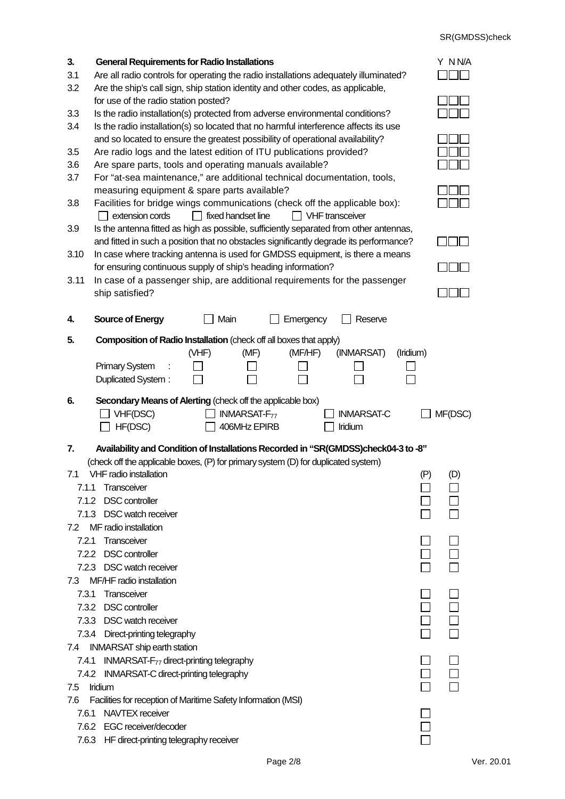| 3.    | <b>General Requirements for Radio Installations</b>                                                                                                                  | Y NN/A     |  |  |  |  |  |  |  |
|-------|----------------------------------------------------------------------------------------------------------------------------------------------------------------------|------------|--|--|--|--|--|--|--|
| 3.1   | Are all radio controls for operating the radio installations adequately illuminated?                                                                                 |            |  |  |  |  |  |  |  |
| 3.2   | Are the ship's call sign, ship station identity and other codes, as applicable,                                                                                      |            |  |  |  |  |  |  |  |
| 3.3   | for use of the radio station posted?<br>Is the radio installation(s) protected from adverse environmental conditions?                                                |            |  |  |  |  |  |  |  |
| 3.4   | Is the radio installation(s) so located that no harmful interference affects its use                                                                                 |            |  |  |  |  |  |  |  |
|       | and so located to ensure the greatest possibility of operational availability?                                                                                       |            |  |  |  |  |  |  |  |
| 3.5   | Are radio logs and the latest edition of ITU publications provided?                                                                                                  |            |  |  |  |  |  |  |  |
| 3.6   | Are spare parts, tools and operating manuals available?                                                                                                              |            |  |  |  |  |  |  |  |
| 3.7   | For "at-sea maintenance," are additional technical documentation, tools,<br>measuring equipment & spare parts available?                                             |            |  |  |  |  |  |  |  |
| 3.8   | Facilities for bridge wings communications (check off the applicable box):<br>extension cords<br>$\Box$ fixed handset line<br>$\Box$ VHF transceiver<br>$\mathbf{I}$ |            |  |  |  |  |  |  |  |
| 3.9   | Is the antenna fitted as high as possible, sufficiently separated from other antennas,                                                                               |            |  |  |  |  |  |  |  |
|       | and fitted in such a position that no obstacles significantly degrade its performance?                                                                               |            |  |  |  |  |  |  |  |
| 3.10  | In case where tracking antenna is used for GMDSS equipment, is there a means                                                                                         |            |  |  |  |  |  |  |  |
|       | for ensuring continuous supply of ship's heading information?                                                                                                        |            |  |  |  |  |  |  |  |
| 3.11  | In case of a passenger ship, are additional requirements for the passenger                                                                                           |            |  |  |  |  |  |  |  |
|       | ship satisfied?                                                                                                                                                      |            |  |  |  |  |  |  |  |
| 4.    | <b>Source of Energy</b><br>Main<br>Emergency<br>Reserve                                                                                                              |            |  |  |  |  |  |  |  |
|       |                                                                                                                                                                      |            |  |  |  |  |  |  |  |
| 5.    | <b>Composition of Radio Installation</b> (check off all boxes that apply)                                                                                            |            |  |  |  |  |  |  |  |
|       | (INMARSAT)<br>(VHF)<br>(MF/HF)<br>(Iridium)<br>(MF)<br><b>Primary System</b>                                                                                         |            |  |  |  |  |  |  |  |
|       | Duplicated System:                                                                                                                                                   |            |  |  |  |  |  |  |  |
|       |                                                                                                                                                                      |            |  |  |  |  |  |  |  |
| 6.    | Secondary Means of Alerting (check off the applicable box)                                                                                                           |            |  |  |  |  |  |  |  |
|       |                                                                                                                                                                      |            |  |  |  |  |  |  |  |
|       | VHF(DSC)<br><b>INMARSAT-F<sub>77</sub></b><br><b>INMARSAT-C</b>                                                                                                      | MF(DSC)    |  |  |  |  |  |  |  |
|       | HF(DSC)<br>406MHz EPIRB<br>Iridium                                                                                                                                   |            |  |  |  |  |  |  |  |
| 7.    | Availability and Condition of Installations Recorded in "SR(GMDSS)check04-3 to -8"                                                                                   |            |  |  |  |  |  |  |  |
|       | (check off the applicable boxes, (P) for primary system (D) for duplicated system)                                                                                   |            |  |  |  |  |  |  |  |
| 7.1   | VHF radio installation                                                                                                                                               | (P)<br>(D) |  |  |  |  |  |  |  |
| 7.1.1 | Transceiver                                                                                                                                                          |            |  |  |  |  |  |  |  |
| 7.1.2 | <b>DSC</b> controller                                                                                                                                                |            |  |  |  |  |  |  |  |
|       | 7.1.3 DSC watch receiver                                                                                                                                             |            |  |  |  |  |  |  |  |
| 7.2   | MF radio installation                                                                                                                                                |            |  |  |  |  |  |  |  |
| 7.2.1 | Transceiver                                                                                                                                                          |            |  |  |  |  |  |  |  |
|       | 7.2.2 DSC controller                                                                                                                                                 |            |  |  |  |  |  |  |  |
| 7.3   | 7.2.3 DSC watch receiver<br>MF/HF radio installation                                                                                                                 |            |  |  |  |  |  |  |  |
| 7.3.1 | Transceiver                                                                                                                                                          |            |  |  |  |  |  |  |  |
|       | 7.3.2 DSC controller                                                                                                                                                 |            |  |  |  |  |  |  |  |
|       | 7.3.3 DSC watch receiver                                                                                                                                             |            |  |  |  |  |  |  |  |
|       | 7.3.4 Direct-printing telegraphy                                                                                                                                     |            |  |  |  |  |  |  |  |
| 7.4   | <b>INMARSAT</b> ship earth station                                                                                                                                   |            |  |  |  |  |  |  |  |
| 7.4.1 | INMARSAT- $F_{77}$ direct-printing telegraphy                                                                                                                        |            |  |  |  |  |  |  |  |
| 7.4.2 | <b>INMARSAT-C direct-printing telegraphy</b>                                                                                                                         |            |  |  |  |  |  |  |  |
| 7.5   | Iridium                                                                                                                                                              |            |  |  |  |  |  |  |  |
| 7.6   | Facilities for reception of Maritime Safety Information (MSI)                                                                                                        |            |  |  |  |  |  |  |  |
| 7.6.1 | NAVTEX receiver                                                                                                                                                      |            |  |  |  |  |  |  |  |
|       | 7.6.2 EGC receiver/decoder<br>7.6.3 HF direct-printing telegraphy receiver                                                                                           |            |  |  |  |  |  |  |  |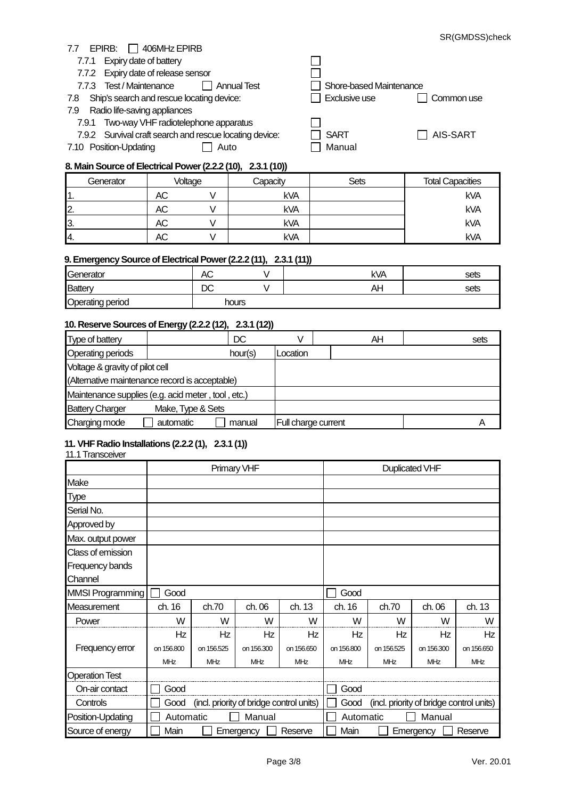#### 7.7 EPIRB: 3406MHz EPIRB

- 7.7.1 Expiry date of battery
- 7.7.2 Expiry date of release sensor
- 7.7.3 Test / Maintenance **Annual Test** Shore-based Maintenance
- 7.8 Ship's search and rescue locating device: Reserve Law Exclusive use Common use

#### 7.9 Radio life-saving appliances

- 7.9.1 Two-way VHF radiotelephone apparatus
- 7.9.2 Survival craft search and rescue locating device: SART SART AIS-SART
- 7.10 Position-Updating and Auto and Manual

| $\mathbf{L}$ |             |
|--------------|-------------|
| $\Box$ SART  | $\Box$ AIS- |
| ⊟ Manual     |             |

### **8. Main Source of Electrical Power (2.2.2 (10), 2.3.1 (10))**

| Generator | Voltage |  | Capacity   | <b>Sets</b> | <b>Total Capacities</b> |  |
|-----------|---------|--|------------|-------------|-------------------------|--|
|           | AС      |  | <b>kVA</b> |             | <b>kVA</b>              |  |
| 12.       | АC      |  | <b>kVA</b> |             | kVA                     |  |
| 13.       | AC      |  | <b>kVA</b> |             | <b>kVA</b>              |  |
| 14.       | АC      |  | <b>kVA</b> |             | <b>kVA</b>              |  |

П П

#### **9. Emergency Source of Electrical Power (2.2.2 (11), 2.3.1 (11))**

| $\sim$                  |         | . .   | --  |      |
|-------------------------|---------|-------|-----|------|
| Generator               | АC      |       | kVA | sets |
| Battery                 | r∩<br>◡ |       | A۲  | sets |
| <b>Operating period</b> |         | hours |     |      |

#### **10. Reserve Sources of Energy (2.2.2 (12), 2.3.1 (12))**

|                                                    | -- 1              | .       |                     |    |      |
|----------------------------------------------------|-------------------|---------|---------------------|----|------|
| Type of battery                                    |                   | DC      |                     | AΗ | sets |
| Operating periods                                  |                   | hour(s) | _ocation            |    |      |
| Voltage & gravity of pilot cell                    |                   |         |                     |    |      |
| (Alternative maintenance record is acceptable)     |                   |         |                     |    |      |
| Maintenance supplies (e.g. acid meter, tool, etc.) |                   |         |                     |    |      |
| <b>Battery Charger</b>                             | Make, Type & Sets |         |                     |    |      |
| Charging mode                                      | automatic         | manual  | Full charge current |    |      |
|                                                    |                   |         |                     |    |      |

#### **11. VHF Radio Installations (2.2.2 (1), 2.3.1 (1))** 11.1Transceiver

|                         |                                                  | Primary VHF |            |            |                     | <b>Duplicated VHF</b> |                                          |            |  |
|-------------------------|--------------------------------------------------|-------------|------------|------------|---------------------|-----------------------|------------------------------------------|------------|--|
| Make                    |                                                  |             |            |            |                     |                       |                                          |            |  |
| <b>Type</b>             |                                                  |             |            |            |                     |                       |                                          |            |  |
| Serial No.              |                                                  |             |            |            |                     |                       |                                          |            |  |
| Approved by             |                                                  |             |            |            |                     |                       |                                          |            |  |
| Max. output power       |                                                  |             |            |            |                     |                       |                                          |            |  |
| Class of emission       |                                                  |             |            |            |                     |                       |                                          |            |  |
| Frequency bands         |                                                  |             |            |            |                     |                       |                                          |            |  |
| Channel                 |                                                  |             |            |            |                     |                       |                                          |            |  |
| <b>MMSI Programming</b> | Good                                             |             |            |            | Good                |                       |                                          |            |  |
| Measurement             | ch. 16                                           | ch.70       | ch. 06     | ch. 13     | ch. 16              | ch.70                 | ch. 06                                   | ch. 13     |  |
| Power                   | W                                                | W           | W          | W          | W                   | W                     | W                                        | W          |  |
|                         | Hz                                               | Hz          | Hz         | Hz         | Ηz                  | Hz                    | Hz                                       | Hz         |  |
| Frequency error         | on 156,800                                       | on 156.525  | on 156,300 | on 156,650 | on 156,800          | on 156.525            | on 156,300                               | on 156,650 |  |
|                         | MHz                                              | MHz         | <b>MHz</b> | <b>MHz</b> | <b>MHz</b>          | <b>MHz</b>            | <b>MHz</b>                               | MHz        |  |
| <b>Operation Test</b>   |                                                  |             |            |            |                     |                       |                                          |            |  |
| On-air contact          | Good                                             |             |            |            | Good                |                       |                                          |            |  |
| Controls                | (incl. priority of bridge control units)<br>Good |             |            |            | Good                |                       | (incl. priority of bridge control units) |            |  |
| Position-Updating       | Automatic                                        |             | Manual     |            | Manual<br>Automatic |                       |                                          |            |  |
| Source of energy        | Main                                             |             | Emergency  | Reserve    | Main                |                       | Emergency                                | Reserve    |  |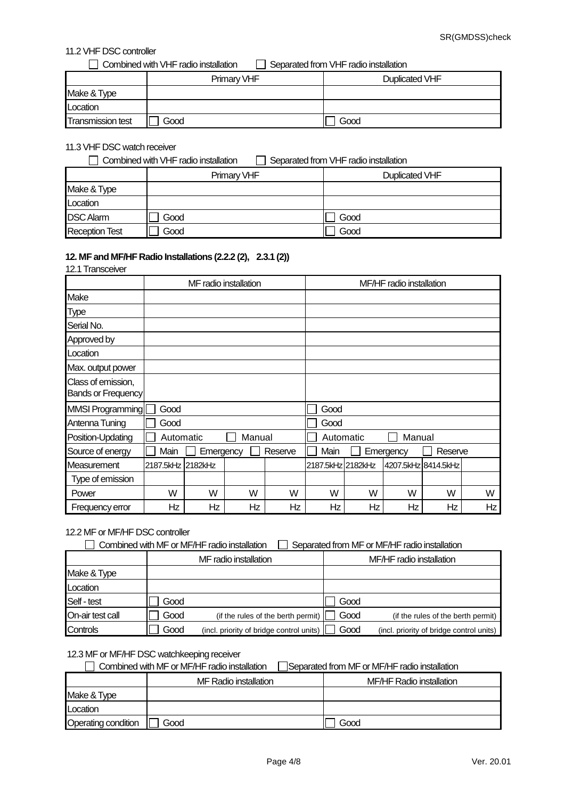### 11.2 VHF DSC controller

 $\Box$  Combined with VHF radio installation  $\Box$  Separated from VHF radio installation

|                          | Primary VHF | Duplicated VHF |
|--------------------------|-------------|----------------|
| Make & Type              |             |                |
| Location                 |             |                |
| <b>Transmission test</b> | Good        | Good           |

#### 11.3 VHF DSC watch receiver

| Combined with VHF radio installation<br>Separated from VHF radio installation |             |                |  |  |  |
|-------------------------------------------------------------------------------|-------------|----------------|--|--|--|
|                                                                               | Primary VHF | Duplicated VHF |  |  |  |
| Make & Type                                                                   |             |                |  |  |  |
| Location                                                                      |             |                |  |  |  |
| <b>DSC Alarm</b>                                                              | Good        | Good           |  |  |  |
| <b>Reception Test</b>                                                         | Good        | Good           |  |  |  |

#### **12. MF and MF/HF Radio Installations (2.2.2 (2), 2.3.1 (2))** 12.1 Transceiver

|                                                 | IZ. I Tidrisceivei |                       |        |         |                     |                          |           |                     |    |  |
|-------------------------------------------------|--------------------|-----------------------|--------|---------|---------------------|--------------------------|-----------|---------------------|----|--|
|                                                 |                    | MF radio installation |        |         |                     | MF/HF radio installation |           |                     |    |  |
| Make                                            |                    |                       |        |         |                     |                          |           |                     |    |  |
| Type                                            |                    |                       |        |         |                     |                          |           |                     |    |  |
| Serial No.                                      |                    |                       |        |         |                     |                          |           |                     |    |  |
| Approved by                                     |                    |                       |        |         |                     |                          |           |                     |    |  |
| Location                                        |                    |                       |        |         |                     |                          |           |                     |    |  |
| Max. output power                               |                    |                       |        |         |                     |                          |           |                     |    |  |
| Class of emission,<br><b>Bands or Frequency</b> |                    |                       |        |         |                     |                          |           |                     |    |  |
| MMSI Programming                                | Good               |                       |        |         | Good                |                          |           |                     |    |  |
| Antenna Tuning                                  | Good               |                       |        |         | Good                |                          |           |                     |    |  |
| Position-Updating                               | Automatic          |                       | Manual |         | Manual<br>Automatic |                          |           |                     |    |  |
| Source of energy                                | Main               | Emergency             |        | Reserve | Main                |                          | Emergency | Reserve             |    |  |
| <b>Measurement</b>                              | 2187.5kHz 2182kHz  |                       |        |         | 2187.5kHz 2182kHz   |                          |           | 4207.5kHz 8414.5kHz |    |  |
| Type of emission                                |                    |                       |        |         |                     |                          |           |                     |    |  |
| Power                                           | W                  | W                     | W      | W       | W                   | W                        | W         | W                   | W  |  |
| Frequency error                                 | Ηz                 | Hz                    | Hz     | Ηz      | Ηz                  | Hz                       | Ηz        | Ηz                  | Hz |  |

#### 12.2 MF or MF/HF DSC controller

| Combined with MF or MF/HF radio installation | Separated from MF or MF/HF radio installation |
|----------------------------------------------|-----------------------------------------------|
|                                              |                                               |

|                  |      | MF radio installation                    | MF/HF radio installation |                                          |  |  |
|------------------|------|------------------------------------------|--------------------------|------------------------------------------|--|--|
| Make & Type      |      |                                          |                          |                                          |  |  |
| Location         |      |                                          |                          |                                          |  |  |
| Self - test      | Good |                                          | Good                     |                                          |  |  |
| On-air test call | Good | (if the rules of the berth permit)       | Good                     | (if the rules of the berth permit)       |  |  |
| Controls         | Good | (incl. priority of bridge control units) | Good                     | (incl. priority of bridge control units) |  |  |

### 12.3 MF or MF/HF DSC watchkeeping receiver

## Combined with MF or MF/HF radio installation Separated from MF or MF/HF radio installation

|                            | MF Radio installation | MF/HF Radio installation |
|----------------------------|-----------------------|--------------------------|
| Make & Type                |                       |                          |
| Location                   |                       |                          |
| <b>Operating condition</b> | Good                  | Good                     |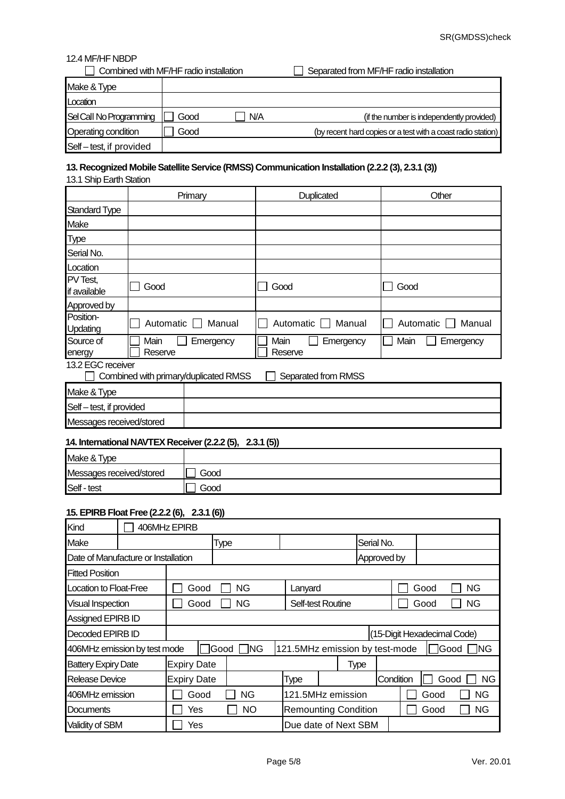#### 12.4 MF/HF NBDP

| Combined with MF/HF radio installation |      |     | Separated from MF/HF radio installation                      |
|----------------------------------------|------|-----|--------------------------------------------------------------|
| Make & Type                            |      |     |                                                              |
| Location                               |      |     |                                                              |
| Sel Call No Programming                | Good | N/A | (if the number is independently provided)                    |
| Operating condition                    | Good |     | (by recent hard copies or a test with a coast radio station) |
| Self-test, if provided                 |      |     |                                                              |

## **13. Recognized Mobile Satellite Service (RMSS) Communication Installation (2.2.2 (3), 2.3.1 (3))**

### 13.1 Ship Earth Station

|                          | Primary                               | Duplicated                   | Other               |  |
|--------------------------|---------------------------------------|------------------------------|---------------------|--|
| Standard Type            |                                       |                              |                     |  |
| Make                     |                                       |                              |                     |  |
| Type                     |                                       |                              |                     |  |
| Serial No.               |                                       |                              |                     |  |
| Location                 |                                       |                              |                     |  |
| PV Test,<br>if available | Good                                  | Good                         | Good                |  |
| Approved by              |                                       |                              |                     |  |
| Position-<br>Updating    | Automatic<br>Manual                   | Automatic<br>Manual          | Automatic<br>Manual |  |
| Source of<br>energy      | Main<br>Emergency<br>Reserve          | Main<br>Emergency<br>Reserve | Main<br>Emergency   |  |
| 13.2 EGC receiver        | Combined with primary/duplicated RMSS | Separated from RMSS          |                     |  |
| Make & Type              |                                       |                              |                     |  |
| Self - test, if provided |                                       |                              |                     |  |

# **14. International NAVTEX Receiver (2.2.2 (5), 2.3.1 (5))**

| Make & Type              |      |
|--------------------------|------|
| Messages received/stored | Good |
| Self - test              | Good |

#### **15. EPIRB Float Free (2.2.2 (6), 2.3.1 (6))**

Messages received/stored

| Kind                                | 406MHz EPIRB       |             |            |                   |                                |             |      |                             |           |
|-------------------------------------|--------------------|-------------|------------|-------------------|--------------------------------|-------------|------|-----------------------------|-----------|
| Make                                |                    | <b>Type</b> |            |                   |                                | Serial No.  |      |                             |           |
| Date of Manufacture or Installation |                    |             |            |                   |                                | Approved by |      |                             |           |
| <b>Fitted Position</b>              |                    |             |            |                   |                                |             |      |                             |           |
| Location to Float-Free              |                    | Good        | NG         | Lanyard           |                                |             | Good |                             | NG.       |
| <b>Visual Inspection</b>            |                    | Good        | NG         | Self-test Routine |                                |             | Good |                             | ΝG        |
| Assigned EPIRB ID                   |                    |             |            |                   |                                |             |      |                             |           |
| Decoded EPIRB ID                    |                    |             |            |                   |                                |             |      | (15-Digit Hexadecimal Code) |           |
| 406MHz emission by test mode        |                    | Good        | <b>ING</b> |                   | 121.5MHz emission by test-mode |             |      | <b>IGood</b>                | ING.      |
| <b>Battery Expiry Date</b>          | <b>Expiry Date</b> |             |            |                   | <b>Type</b>                    |             |      |                             |           |
| Release Device                      | <b>Expiry Date</b> |             |            | Type              |                                | Condition   |      | Good                        | <b>NG</b> |
| 406MHz emission                     |                    | Good        | ΝG         | 121.5MHz emission |                                |             | Good |                             | ΝG        |
| Documents                           | Yes                |             | NO         |                   | <b>Remounting Condition</b>    |             | Good |                             | ΝG        |
| Validity of SBM                     | Yes                |             |            |                   | Due date of Next SBM           |             |      |                             |           |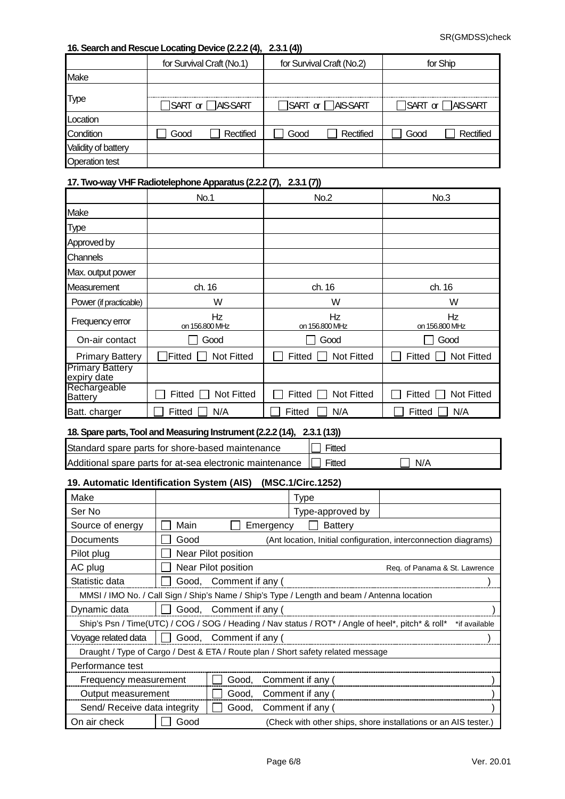### **16. Search and Rescue Locating Device (2.2.2 (4), 2.3.1 (4))**

|                       |                          | for Survival Craft (No.1) | for Survival Craft (No.2) |                                    |                                         | for Ship  |  |
|-----------------------|--------------------------|---------------------------|---------------------------|------------------------------------|-----------------------------------------|-----------|--|
| Make                  |                          |                           |                           |                                    |                                         |           |  |
|                       |                          |                           |                           |                                    |                                         |           |  |
| Type                  | <b>TSART or □AISSART</b> |                           |                           | $\sqcap$ SART or $\sqcap$ AIS-SART | $\sqrt{\}$ SART or $\sqrt{\ }$ AIS-SART |           |  |
| Location              |                          |                           |                           |                                    |                                         |           |  |
| Condition             | Good                     | Rectified                 | Good                      | Rectified                          | Good                                    | Rectified |  |
| Validity of battery   |                          |                           |                           |                                    |                                         |           |  |
| <b>Operation test</b> |                          |                           |                           |                                    |                                         |           |  |

#### **17. Two-way VHF Radiotelephone Apparatus (2.2.2 (7), 2.3.1 (7))**

|                                       | <b>No.1</b>                 | No.2                        | No.3                        |
|---------------------------------------|-----------------------------|-----------------------------|-----------------------------|
| Make                                  |                             |                             |                             |
| <b>Type</b>                           |                             |                             |                             |
| Approved by                           |                             |                             |                             |
| <b>Channels</b>                       |                             |                             |                             |
| Max. output power                     |                             |                             |                             |
| Measurement                           | ch. 16                      | ch. 16                      | ch. 16                      |
| Power (if practicable)                | W                           | W                           | W                           |
| Frequency error                       | Hz<br>on 156.800 MHz        | Hz<br>on 156.800 MHz        | Hz<br>on 156.800 MHz        |
| On-air contact                        | Good                        | Good                        | Good                        |
| <b>Primary Battery</b>                | Fitted<br><b>Not Fitted</b> | <b>Not Fitted</b><br>Fitted | Fitted<br><b>Not Fitted</b> |
| <b>Primary Battery</b><br>expiry date |                             |                             |                             |
| Rechargeable<br><b>Battery</b>        | Fitted<br>Not Fitted        | Fitted<br>Not Fitted        | Fitted<br>Not Fitted        |
| Batt. charger                         | N/A<br>Fitted               | N/A<br>Fitted               | Fitted<br>N/A               |

#### **18. Spare parts, Tool and Measuring Instrument (2.2.2 (14), 2.3.1 (13))**

| Standard spare parts for shore-based maintenance                       | Fitted |            |
|------------------------------------------------------------------------|--------|------------|
| Additional spare parts for at-sea electronic maintenance $\Box$ Fitted |        | $\Box$ N/A |

# **19. Automatic Identification System (AIS) (MSC.1/Circ.1252)**

| Make                                            |      |                        |           | <b>Type</b>                                                                                       |                               |               |  |
|-------------------------------------------------|------|------------------------|-----------|---------------------------------------------------------------------------------------------------|-------------------------------|---------------|--|
| Ser No                                          |      |                        |           | Type-approved by                                                                                  |                               |               |  |
| Source of energy                                | Main |                        | Emergency | Battery                                                                                           |                               |               |  |
| Documents                                       | Good |                        |           | (Ant location, Initial configuration, interconnection diagrams)                                   |                               |               |  |
| Pilot plug                                      |      | Near Pilot position    |           |                                                                                                   |                               |               |  |
| AC plug                                         |      | Near Pilot position    |           |                                                                                                   | Req. of Panama & St. Lawrence |               |  |
| Statistic data                                  |      | Good, Comment if any ( |           |                                                                                                   |                               |               |  |
|                                                 |      |                        |           | MMSI / IMO No. / Call Sign / Ship's Name / Ship's Type / Length and beam / Antenna location       |                               |               |  |
| Dynamic data                                    |      | Good, Comment if any ( |           |                                                                                                   |                               |               |  |
|                                                 |      |                        |           | Ship's Psn / Time(UTC) / COG / SOG / Heading / Nav status / ROT* / Angle of heel*, pitch* & roll* |                               | *if available |  |
| Voyage related data                             |      | Good, Comment if any ( |           |                                                                                                   |                               |               |  |
|                                                 |      |                        |           | Draught / Type of Cargo / Dest & ETA / Route plan / Short safety related message                  |                               |               |  |
| Performance test                                |      |                        |           |                                                                                                   |                               |               |  |
| Good, Comment if any (<br>Frequency measurement |      |                        |           |                                                                                                   |                               |               |  |
| Good, Comment if any (<br>Output measurement    |      |                        |           |                                                                                                   |                               |               |  |
| Send/ Receive data integrity                    |      | Good,                  |           | Comment if any (                                                                                  |                               |               |  |
| On air check                                    | Good |                        |           | (Check with other ships, shore installations or an AIS tester.)                                   |                               |               |  |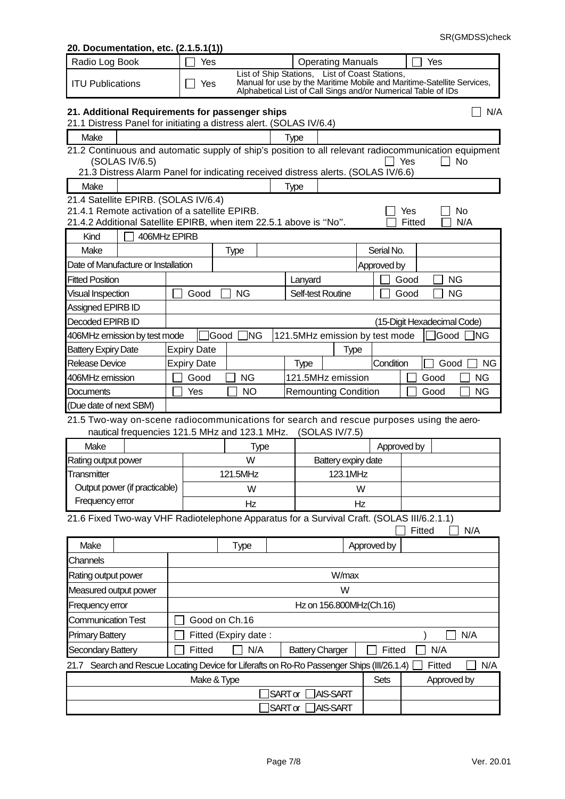### Radio Log Book  $\Box$  Yes  $\Box$  Operating Manuals  $\Box$  Yes ITU Publications  $\Box$  Yes List of Ship Stations, List of Coast Stations, Manual for use by the Maritime Mobile and Maritime-Satellite Services, Alphabetical List of Call Sings and/or Numerical Table of IDs **21. Additional Requirements for passenger ships** New York Contract Contract Contract Contract Contract Contract Contract Contract Contract Contract Contract Contract Contract Contract Contract Contract Contract Contract C 21.1 Distress Panel for initiating a distress alert. (SOLAS IV/6.4) Make and the matrix of the Make the Make  $\vert$  Type 21.2 Continuous and automatic supply of ship's position to all relevant radiocommunication equipment  $\Box$  Yes  $\Box$  No 21.3 Distress Alarm Panel for indicating received distress alerts. (SOLAS IV/6.6) Make | Type 21.4 Satellite EPIRB. (SOLAS IV/6.4) 21.4.1 Remote activation of a satellite EPIRB.<br>21.4.2 Additional Satellite EPIRB, when item 22.5.1 above is "No".  $\Box$  Fitted  $\Box$  N/A 21.4.2 Additional Satellite EPIRB, when item 22.5.1 above is "No". Kind  $\Box$  406MHz EPIRB Make Type Serial No. Date of Manufacture or Installation Approved by Approved by Fitted Position **Langest Cooler Langest Cooler Langest Cooler** Langest Langest Langest Langest Langest Langest Langest Langest Langest Langest Langest Langest Langest Langest Langest Langest Langest Langest Langest Langest Visual Inspection Good  $\Box$  NG  $\Box$  Self-test Routine  $\Box$  Good  $\Box$  NG Assigned EPIRB ID Decoded EPIRB ID (15-Digit Hexadecimal Code) 406MHz emission by test mode  $\Box$  Good  $\Box$  NG  $\Box$  121.5MHz emission by test mode  $\Box$  Good  $\Box$  NG Battery Expiry Date Expiry Date Figure Type Release Device  $\begin{array}{|c|c|c|c|c|c|}\n\hline\n\text{Replace} & \text{Expiry Date} & \text{Type} & \text{Type} & \text{Condition} & \boxed{\Box} \text{ Good} & \text{NG} \end{array}$ 406MHz emission Good  $\Box$  NG  $\Box$  121.5MHz emission Good  $\Box$  NG Documents  $\Box$  Yes  $\Box$  NO Remounting Condition  $\Box$  Good  $\Box$  NG (Due date of next SBM) 21.5 Two-way on-scene radiocommunications for search and rescue purposes using the aeronautical frequencies 121.5 MHz and 123.1 MHz. (SOLAS IV/7.5) Make | Type | Type | Approved by Rating output power and the state of the W Battery expiry date **Transmitter** Output power (if practicable) Frequency error 121.5MHz 123.1MHz W W Hz Hz 21.6 Fixed Two-way VHF Radiotelephone Apparatus for a Survival Craft. (SOLAS III/6.2.1.1)  $\Box$  Fitted  $\Box$  N/A Make | Type | Type | Approved by **Channels** Rating output power New York Changes and the United States of Windows Windows New York Changes and Ministers of Windows New York Changes and Ministers and Ministers and Ministers and Ministers and Ministers and Ministers a Measured output power Network Contract the Measured output power Network Contract the Measured output  $W$ Frequency error Frequency error  $|$  and the state of the Hz on 156.800MHz(Ch.16) Communication Test  $\Box$  Good on Ch.16 Primary Battery Fitted (Expiry date :  $\Box$  N/A Secondary Battery Fitted  $\Box$  N/A Battery Charger Fitted  $\Box$  N/A 21.7 Search and Rescue Locating Device for Liferafts on Ro-Ro Passenger Ships (III/26.1.4)  $\Box$  Fitted  $\Box$  N/A Make & Type Sets Approved by **SARTor AIS-SART SART or AIS-SART**

**20. Documentation, etc. (2.1.5.1(1))**